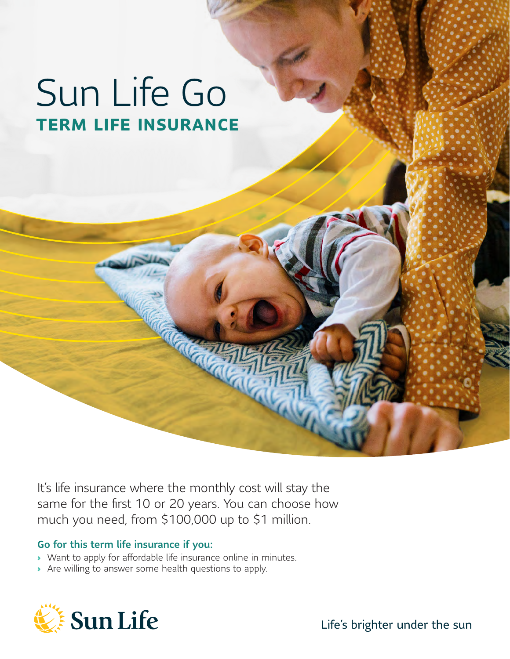# Sun Life Go **TERM LIFE INSURANCE**

It's life insurance where the monthly cost will stay the same for the first 10 or 20 years. You can choose how much you need, from \$100,000 up to \$1 million.

#### Go for this term life insurance if you:

- › Want to apply for affordable life insurance online in minutes.
- › Are willing to answer some health questions to apply.

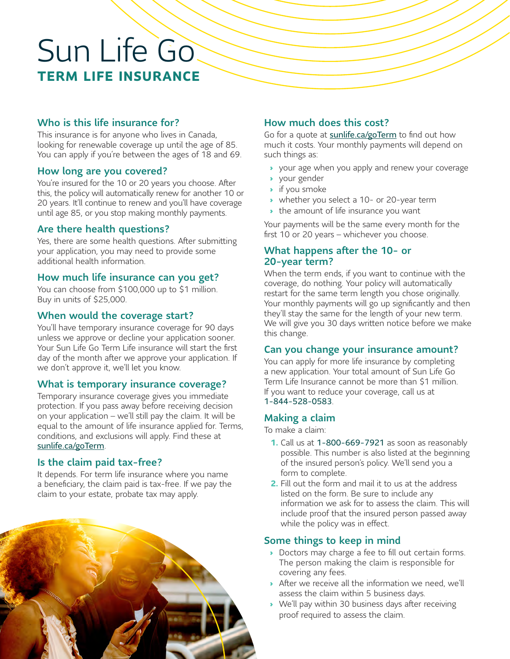## Sun Life Go **TERM LIFE INSURANCE**

#### Who is this life insurance for?

This insurance is for anyone who lives in Canada, looking for renewable coverage up until the age of 85. You can apply if you're between the ages of 18 and 69.

#### How long are you covered?

You're insured for the 10 or 20 years you choose. After this, the policy will automatically renew for another 10 or 20 years. It'll continue to renew and you'll have coverage until age 85, or you stop making monthly payments.

#### Are there health questions?

Yes, there are some health questions. After submitting your application, you may need to provide some additional health information.

#### How much life insurance can you get?

You can choose from \$100,000 up to \$1 million. Buy in units of \$25,000.

#### When would the coverage start?

You'll have temporary insurance coverage for 90 days unless we approve or decline your application sooner. Your Sun Life Go Term Life insurance will start the first day of the month after we approve your application. If we don't approve it, we'll let you know.

#### What is temporary insurance coverage?

Temporary insurance coverage gives you immediate protection. If you pass away before receiving decision on your application – we'll still pay the claim. It will be equal to the amount of life insurance applied for. Terms, conditions, and exclusions will apply. Find these at [sunlife.ca/goTerm](http://sunlife.ca/goTerm).

#### Is the claim paid tax-free?

It depends. For term life insurance where you name a beneficiary, the claim paid is tax-free. If we pay the claim to your estate, probate tax may apply.



#### How much does this cost?

Go for a quote at [sunlife.ca/goTerm](http://sunlife.ca/goTerm) to find out how much it costs. Your monthly payments will depend on such things as:

- › your age when you apply and renew your coverage
- › your gender
- › if you smoke
- › whether you select a 10- or 20-year term
- › the amount of life insurance you want

Your payments will be the same every month for the first 10 or 20 years – whichever you choose.

#### What happens after the 10- or 20-year term?

When the term ends, if you want to continue with the coverage, do nothing. Your policy will automatically restart for the same term length you chose originally. Your monthly payments will go up significantly and then they'll stay the same for the length of your new term. We will give you 30 days written notice before we make this change.

#### Can you change your insurance amount?

You can apply for more life insurance by completing a new application. Your total amount of Sun Life Go Term Life Insurance cannot be more than \$1 million. If you want to reduce your coverage, call us at 1‑844‑528‑0583.

#### Making a claim

To make a claim:

- **1.** Call us at 1‑800‑669‑7921 as soon as reasonably possible. This number is also listed at the beginning of the insured person's policy. We'll send you a form to complete.
- **2.** Fill out the form and mail it to us at the address listed on the form. Be sure to include any information we ask for to assess the claim. This will include proof that the insured person passed away while the policy was in effect.

#### Some things to keep in mind

- › Doctors may charge a fee to fill out certain forms. The person making the claim is responsible for covering any fees.
- › After we receive all the information we need, we'll assess the claim within 5 business days.
- › We'll pay within 30 business days after receiving proof required to assess the claim.